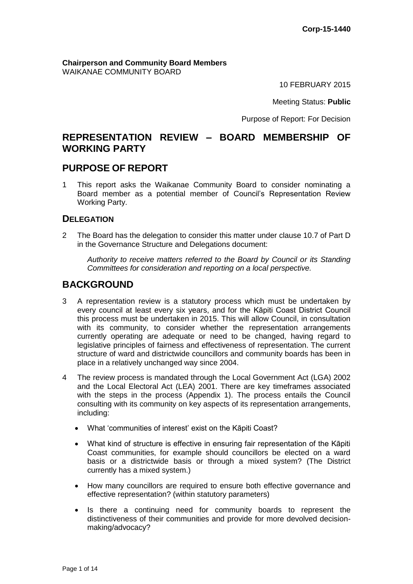**Chairperson and Community Board Members** WAIKANAE COMMUNITY BOARD

10 FEBRUARY 2015

Meeting Status: **Public**

Purpose of Report: For Decision

# **REPRESENTATION REVIEW – BOARD MEMBERSHIP OF WORKING PARTY**

# **PURPOSE OF REPORT**

1 This report asks the Waikanae Community Board to consider nominating a Board member as a potential member of Council's Representation Review Working Party.

#### **DELEGATION**

2 The Board has the delegation to consider this matter under clause 10.7 of Part D in the Governance Structure and Delegations document:

*Authority to receive matters referred to the Board by Council or its Standing Committees for consideration and reporting on a local perspective.*

# **BACKGROUND**

- 3 A representation review is a statutory process which must be undertaken by every council at least every six years, and for the Kāpiti Coast District Council this process must be undertaken in 2015. This will allow Council, in consultation with its community, to consider whether the representation arrangements currently operating are adequate or need to be changed, having regard to legislative principles of fairness and effectiveness of representation. The current structure of ward and districtwide councillors and community boards has been in place in a relatively unchanged way since 2004.
- 4 The review process is mandated through the Local Government Act (LGA) 2002 and the Local Electoral Act (LEA) 2001. There are key timeframes associated with the steps in the process (Appendix 1). The process entails the Council consulting with its community on key aspects of its representation arrangements, including:
	- What 'communities of interest' exist on the Kāpiti Coast?
	- What kind of structure is effective in ensuring fair representation of the Kāpiti Coast communities, for example should councillors be elected on a ward basis or a districtwide basis or through a mixed system? (The District currently has a mixed system.)
	- How many councillors are required to ensure both effective governance and effective representation? (within statutory parameters)
	- Is there a continuing need for community boards to represent the distinctiveness of their communities and provide for more devolved decisionmaking/advocacy?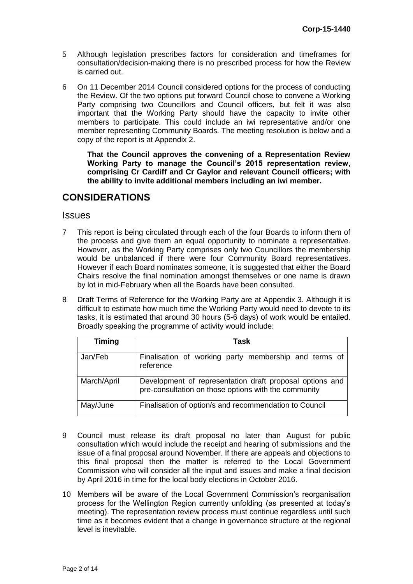- 5 Although legislation prescribes factors for consideration and timeframes for consultation/decision-making there is no prescribed process for how the Review is carried out.
- 6 On 11 December 2014 Council considered options for the process of conducting the Review. Of the two options put forward Council chose to convene a Working Party comprising two Councillors and Council officers, but felt it was also important that the Working Party should have the capacity to invite other members to participate. This could include an iwi representative and/or one member representing Community Boards. The meeting resolution is below and a copy of the report is at Appendix 2.

**That the Council approves the convening of a Representation Review Working Party to manage the Council's 2015 representation review, comprising Cr Cardiff and Cr Gaylor and relevant Council officers; with the ability to invite additional members including an iwi member.**

# **CONSIDERATIONS**

**Issues** 

- 7 This report is being circulated through each of the four Boards to inform them of the process and give them an equal opportunity to nominate a representative. However, as the Working Party comprises only two Councillors the membership would be unbalanced if there were four Community Board representatives. However if each Board nominates someone, it is suggested that either the Board Chairs resolve the final nomination amongst themselves or one name is drawn by lot in mid-February when all the Boards have been consulted.
- 8 Draft Terms of Reference for the Working Party are at Appendix 3. Although it is difficult to estimate how much time the Working Party would need to devote to its tasks, it is estimated that around 30 hours (5-6 days) of work would be entailed. Broadly speaking the programme of activity would include:

| <b>Timing</b> | Task                                                                                                             |  |  |  |
|---------------|------------------------------------------------------------------------------------------------------------------|--|--|--|
| Jan/Feb       | Finalisation of working party membership and terms of<br>reference                                               |  |  |  |
| March/April   | Development of representation draft proposal options and<br>pre-consultation on those options with the community |  |  |  |
| May/June      | Finalisation of option/s and recommendation to Council                                                           |  |  |  |

- 9 Council must release its draft proposal no later than August for public consultation which would include the receipt and hearing of submissions and the issue of a final proposal around November. If there are appeals and objections to this final proposal then the matter is referred to the Local Government Commission who will consider all the input and issues and make a final decision by April 2016 in time for the local body elections in October 2016.
- 10 Members will be aware of the Local Government Commission's reorganisation process for the Wellington Region currently unfolding (as presented at today's meeting). The representation review process must continue regardless until such time as it becomes evident that a change in governance structure at the regional level is inevitable.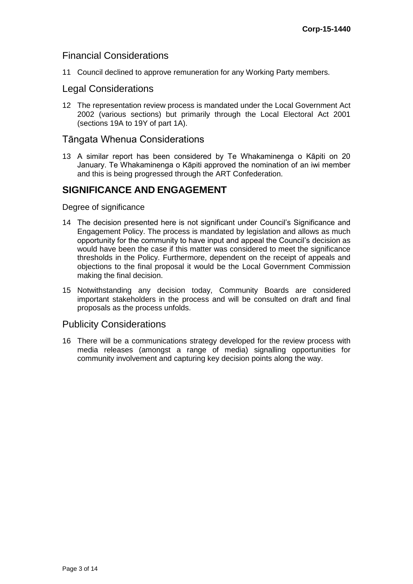# Financial Considerations

11 Council declined to approve remuneration for any Working Party members.

## Legal Considerations

12 The representation review process is mandated under the Local Government Act 2002 (various sections) but primarily through the Local Electoral Act 2001 (sections 19A to 19Y of part 1A).

#### Tāngata Whenua Considerations

13 A similar report has been considered by Te Whakaminenga o Kāpiti on 20 January. Te Whakaminenga o Kāpiti approved the nomination of an iwi member and this is being progressed through the ART Confederation.

# **SIGNIFICANCE AND ENGAGEMENT**

Degree of significance

- 14 The decision presented here is not significant under Council's Significance and Engagement Policy. The process is mandated by legislation and allows as much opportunity for the community to have input and appeal the Council's decision as would have been the case if this matter was considered to meet the significance thresholds in the Policy. Furthermore, dependent on the receipt of appeals and objections to the final proposal it would be the Local Government Commission making the final decision.
- 15 Notwithstanding any decision today, Community Boards are considered important stakeholders in the process and will be consulted on draft and final proposals as the process unfolds.

#### Publicity Considerations

16 There will be a communications strategy developed for the review process with media releases (amongst a range of media) signalling opportunities for community involvement and capturing key decision points along the way.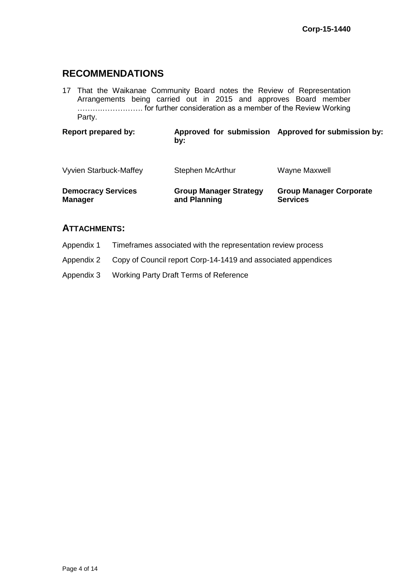# **RECOMMENDATIONS**

17 That the Waikanae Community Board notes the Review of Representation Arrangements being carried out in 2015 and approves Board member ……….……………. for further consideration as a member of the Review Working Party.

**Report prepared by: Approved for submission Approved for submission by: by:**

| Vyvien Starbuck-Maffey    | <b>Stephen McArthur</b>       | Wayne Maxwell                  |
|---------------------------|-------------------------------|--------------------------------|
| <b>Democracy Services</b> | <b>Group Manager Strategy</b> | <b>Group Manager Corporate</b> |
| <b>Manager</b>            | and Planning                  | <b>Services</b>                |

## **ATTACHMENTS:**

Appendix 1 Timeframes associated with the representation review process

Appendix 2 Copy of Council report Corp-14-1419 and associated appendices

Appendix 3 Working Party Draft Terms of Reference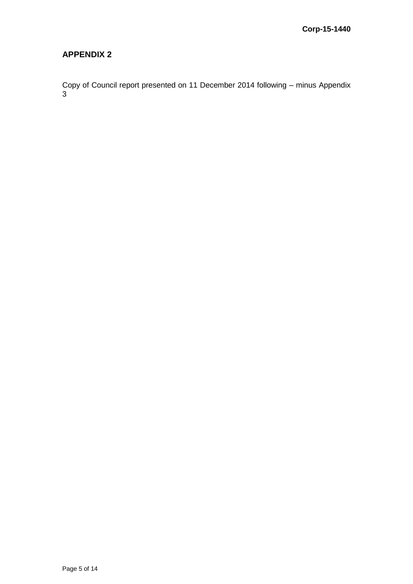# **APPENDIX 2**

Copy of Council report presented on 11 December 2014 following – minus Appendix 3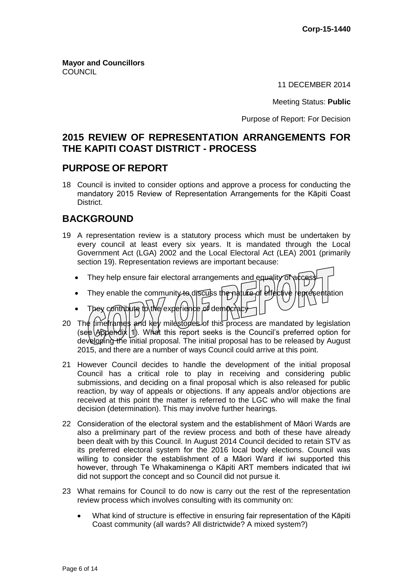**Mayor and Councillors COUNCIL** 

11 DECEMBER 2014

Meeting Status: **Public**

Purpose of Report: For Decision

# **2015 REVIEW OF REPRESENTATION ARRANGEMENTS FOR THE KAPITI COAST DISTRICT - PROCESS**

# **PURPOSE OF REPORT**

18 Council is invited to consider options and approve a process for conducting the mandatory 2015 Review of Representation Arrangements for the Kāpiti Coast District.

# **BACKGROUND**

- 19 A representation review is a statutory process which must be undertaken by every council at least every six years. It is mandated through the Local Government Act (LGA) 2002 and the Local Electoral Act (LEA) 2001 (primarily section 19). Representation reviews are important because:
	- They help ensure fair electoral arrangements and equality of  $ab$
	- They enable the community to discuss the nature of effective representation
	- They contribute to the experience of democracy
- 20 The fime rands and key milestopes of this process are mandated by legislation (see Appendix 1). What this report seeks is the Council's preferred option for developing the initial proposal. The initial proposal has to be released by August 2015, and there are a number of ways Council could arrive at this point.
- 21 However Council decides to handle the development of the initial proposal Council has a critical role to play in receiving and considering public submissions, and deciding on a final proposal which is also released for public reaction, by way of appeals or objections. If any appeals and/or objections are received at this point the matter is referred to the LGC who will make the final decision (determination). This may involve further hearings.
- 22 Consideration of the electoral system and the establishment of Māori Wards are also a preliminary part of the review process and both of these have already been dealt with by this Council. In August 2014 Council decided to retain STV as its preferred electoral system for the 2016 local body elections. Council was willing to consider the establishment of a Māori Ward if iwi supported this however, through Te Whakaminenga o Kāpiti ART members indicated that iwi did not support the concept and so Council did not pursue it.
- 23 What remains for Council to do now is carry out the rest of the representation review process which involves consulting with its community on:
	- What kind of structure is effective in ensuring fair representation of the Kāpiti Coast community (all wards? All districtwide? A mixed system?)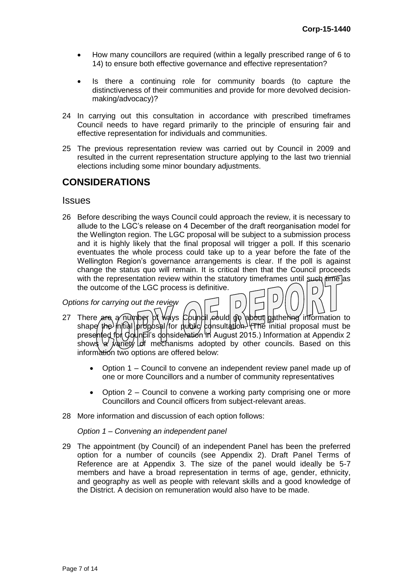- How many councillors are required (within a legally prescribed range of 6 to 14) to ensure both effective governance and effective representation?
- Is there a continuing role for community boards (to capture the distinctiveness of their communities and provide for more devolved decisionmaking/advocacy)?
- 24 In carrying out this consultation in accordance with prescribed timeframes Council needs to have regard primarily to the principle of ensuring fair and effective representation for individuals and communities.
- 25 The previous representation review was carried out by Council in 2009 and resulted in the current representation structure applying to the last two triennial elections including some minor boundary adjustments.

# **CONSIDERATIONS**

#### Issues

26 Before describing the ways Council could approach the review, it is necessary to allude to the LGC's release on 4 December of the draft reorganisation model for the Wellington region. The LGC proposal will be subject to a submission process and it is highly likely that the final proposal will trigger a poll. If this scenario eventuates the whole process could take up to a year before the fate of the Wellington Region's governance arrangements is clear. If the poll is against change the status quo will remain. It is critical then that the Council proceeds with the representation review within the statutory timeframes until such time as the outcome of the LGC process is definitive.

#### *Options for carrying out the review*

- 27 There are  $\alpha$  number of Ways Council eduid go about gathering information to shape the initial proposal (for public consultation.) (The initial proposal must be presented for Council's consideration in August 2015.) Information at Appendix 2 shows  $\forall$  variety lof mechanisms adopted by other councils. Based on this information two options are offered below:
	- Option 1 Council to convene an independent review panel made up of one or more Councillors and a number of community representatives

D

- Option 2 Council to convene a working party comprising one or more Councillors and Council officers from subject-relevant areas.
- 28 More information and discussion of each option follows:

*Option 1 – Convening an independent panel*

29 The appointment (by Council) of an independent Panel has been the preferred option for a number of councils (see Appendix 2). Draft Panel Terms of Reference are at Appendix 3. The size of the panel would ideally be 5-7 members and have a broad representation in terms of age, gender, ethnicity, and geography as well as people with relevant skills and a good knowledge of the District. A decision on remuneration would also have to be made.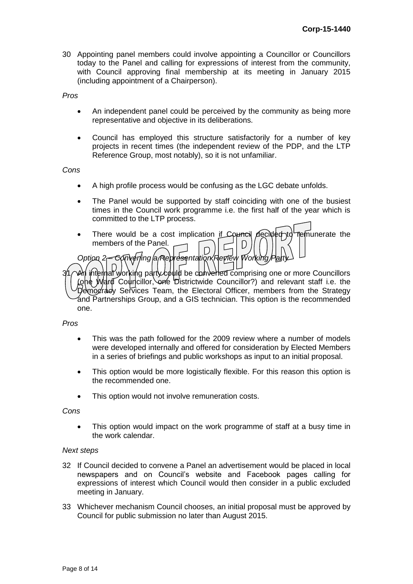30 Appointing panel members could involve appointing a Councillor or Councillors today to the Panel and calling for expressions of interest from the community, with Council approving final membership at its meeting in January 2015 (including appointment of a Chairperson).

*Pros*

- An independent panel could be perceived by the community as being more representative and objective in its deliberations.
- Council has employed this structure satisfactorily for a number of key projects in recent times (the independent review of the PDP, and the LTP Reference Group, most notably), so it is not unfamiliar.

*Cons*

- A high profile process would be confusing as the LGC debate unfolds.
- The Panel would be supported by staff coinciding with one of the busiest times in the Council work programme i.e. the first half of the year which is committed to the LTP process.
- There would be a cost implication if Council decided to remunerate the members of the Panel. D D *Option 2 – Convening a Representation Review Working*

 $\hat{a}$  internal working party  $c$  build be converted comprising one or more Councillors (one Ward Councillor, one Districtwide Councillor?) and relevant staff i.e. the Democracy Services Team, the Electoral Officer, members from the Strategy and Partnerships Group, and a GIS technician. This option is the recommended one.

*Pros*

- This was the path followed for the 2009 review where a number of models were developed internally and offered for consideration by Elected Members in a series of briefings and public workshops as input to an initial proposal.
- This option would be more logistically flexible. For this reason this option is the recommended one.
- This option would not involve remuneration costs.

#### *Cons*

 This option would impact on the work programme of staff at a busy time in the work calendar.

#### *Next steps*

- 32 If Council decided to convene a Panel an advertisement would be placed in local newspapers and on Council's website and Facebook pages calling for expressions of interest which Council would then consider in a public excluded meeting in January.
- 33 Whichever mechanism Council chooses, an initial proposal must be approved by Council for public submission no later than August 2015.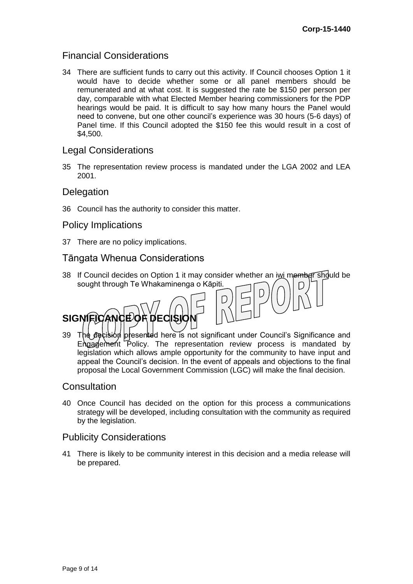# Financial Considerations

34 There are sufficient funds to carry out this activity. If Council chooses Option 1 it would have to decide whether some or all panel members should be remunerated and at what cost. It is suggested the rate be \$150 per person per day, comparable with what Elected Member hearing commissioners for the PDP hearings would be paid. It is difficult to say how many hours the Panel would need to convene, but one other council's experience was 30 hours (5-6 days) of Panel time. If this Council adopted the \$150 fee this would result in a cost of \$4,500.

## Legal Considerations

35 The representation review process is mandated under the LGA 2002 and LEA 2001.

## **Delegation**

36 Council has the authority to consider this matter.

## Policy Implications

37 There are no policy implications.

# Tāngata Whenua Considerations

- 38 If Council decides on Option 1 it may consider whether an iwi member should be sought through Te Whakaminenga o Kāpiti.
- **SIGNIFICANCE OF DECISIC**
- 39 The decision presented here is not significant under Council's Significance and Engagement Policy. The representation review process is mandated by legislation which allows ample opportunity for the community to have input and appeal the Council's decision. In the event of appeals and objections to the final proposal the Local Government Commission (LGC) will make the final decision.

# **Consultation**

40 Once Council has decided on the option for this process a communications strategy will be developed, including consultation with the community as required by the legislation.

#### Publicity Considerations

41 There is likely to be community interest in this decision and a media release will be prepared.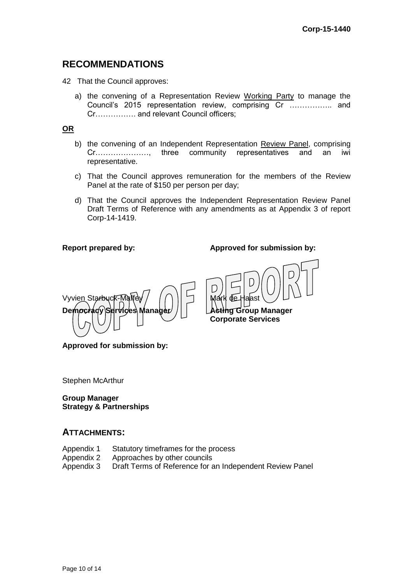# **RECOMMENDATIONS**

42 That the Council approves:

a) the convening of a Representation Review Working Party to manage the Council's 2015 representation review, comprising Cr …………….. and Cr……………. and relevant Council officers;

**OR**

- b) the convening of an Independent Representation Review Panel, comprising Cr…………………, three community representatives and an iwi representative.
- c) That the Council approves remuneration for the members of the Review Panel at the rate of \$150 per person per day;
- d) That the Council approves the Independent Representation Review Panel Draft Terms of Reference with any amendments as at Appendix 3 of report Corp-14-1419.

D

**Report prepared by: Approved for submission by:**

**Corporate Services**



**Approved for submission by:**

Stephen McArthur

**Group Manager Strategy & Partnerships**

#### **ATTACHMENTS:**

- Appendix 1 Statutory timeframes for the process<br>Appendix 2 Approaches by other councils
- 
- Appendix 2 Approaches by other councils<br>Appendix 3 Draft Terms of Reference for a Draft Terms of Reference for an Independent Review Panel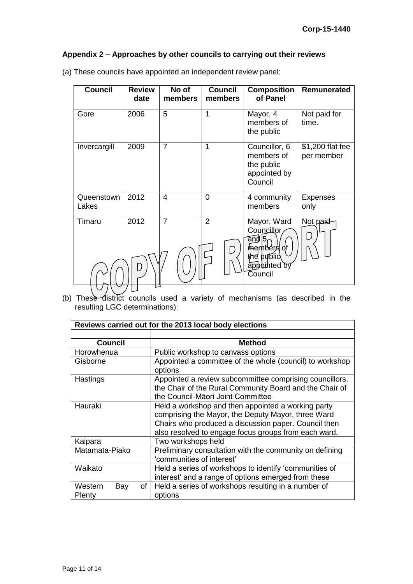## **Appendix 2 – Approaches by other councils to carrying out their reviews**

| <b>Council</b>      | <b>Review</b><br>date | No of<br>members         | <b>Council</b><br>members | <b>Composition</b><br>of Panel                                                            | <b>Remunerated</b>             |
|---------------------|-----------------------|--------------------------|---------------------------|-------------------------------------------------------------------------------------------|--------------------------------|
| Gore                | 2006                  | 5                        | 1                         | Mayor, 4<br>members of<br>the public                                                      | Not paid for<br>time.          |
| Invercargill        | 2009                  | $\overline{7}$           | 1                         | Councillor, 6<br>members of<br>the public<br>appointed by<br>Council                      | \$1,200 flat fee<br>per member |
| Queenstown<br>Lakes | 2012                  | $\overline{\mathcal{A}}$ | 0                         | 4 community<br>members                                                                    | <b>Expenses</b><br>only        |
| Timaru              | 2012                  | $\overline{7}$           | $\overline{2}$<br>Γ.      | Mayor, Ward<br>Councillor<br>and 5<br>members df<br>the public<br>appointed by<br>Council | Not paid                       |

(a) These councils have appointed an independent review panel:

(b) These district councils used a variety of mechanisms (as described in the resulting LGC determinations):

| Reviews carried out for the 2013 local body elections |                                                                                                                                                                                                                          |  |  |  |
|-------------------------------------------------------|--------------------------------------------------------------------------------------------------------------------------------------------------------------------------------------------------------------------------|--|--|--|
|                                                       |                                                                                                                                                                                                                          |  |  |  |
| <b>Council</b>                                        | <b>Method</b>                                                                                                                                                                                                            |  |  |  |
| Horowhenua                                            | Public workshop to canvass options                                                                                                                                                                                       |  |  |  |
| Gisborne                                              | Appointed a committee of the whole (council) to workshop<br>options                                                                                                                                                      |  |  |  |
| Hastings                                              | Appointed a review subcommittee comprising councillors,<br>the Chair of the Rural Community Board and the Chair of<br>the Council-Māori Joint Committee                                                                  |  |  |  |
| Hauraki                                               | Held a workshop and then appointed a working party<br>comprising the Mayor, the Deputy Mayor, three Ward<br>Chairs who produced a discussion paper. Council then<br>also resolved to engage focus groups from each ward. |  |  |  |
| Kaipara                                               | Two workshops held                                                                                                                                                                                                       |  |  |  |
| Matamata-Piako                                        | Preliminary consultation with the community on defining<br>'communities of interest'                                                                                                                                     |  |  |  |
| Waikato                                               | Held a series of workshops to identify 'communities of<br>interest' and a range of options emerged from these                                                                                                            |  |  |  |
| Western<br>Bay<br>of<br>Plenty                        | Held a series of workshops resulting in a number of<br>options                                                                                                                                                           |  |  |  |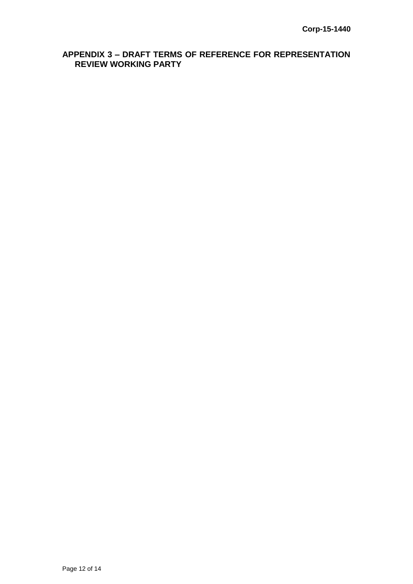# **APPENDIX 3 – DRAFT TERMS OF REFERENCE FOR REPRESENTATION REVIEW WORKING PARTY**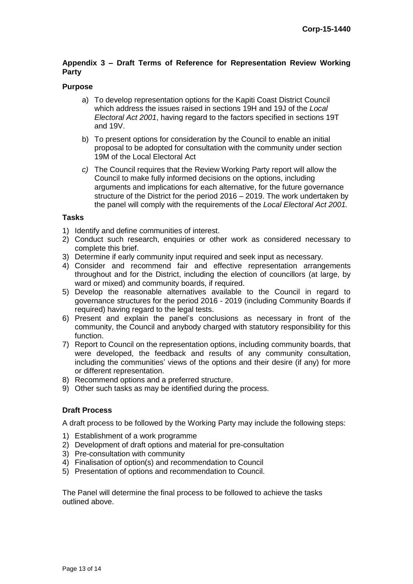#### **Appendix 3 – Draft Terms of Reference for Representation Review Working Party**

#### **Purpose**

- a) To develop representation options for the Kapiti Coast District Council which address the issues raised in sections 19H and 19J of the *Local Electoral Act 2001*, having regard to the factors specified in sections 19T and 19V.
- b) To present options for consideration by the Council to enable an initial proposal to be adopted for consultation with the community under section 19M of the Local Electoral Act
- *c)* The Council requires that the Review Working Party report will allow the Council to make fully informed decisions on the options, including arguments and implications for each alternative, for the future governance structure of the District for the period 2016 – 2019. The work undertaken by the panel will comply with the requirements of the *Local Electoral Act 2001.*

#### **Tasks**

- 1) Identify and define communities of interest.
- 2) Conduct such research, enquiries or other work as considered necessary to complete this brief.
- 3) Determine if early community input required and seek input as necessary.
- 4) Consider and recommend fair and effective representation arrangements throughout and for the District, including the election of councillors (at large, by ward or mixed) and community boards, if required.
- 5) Develop the reasonable alternatives available to the Council in regard to governance structures for the period 2016 - 2019 (including Community Boards if required) having regard to the legal tests.
- 6) Present and explain the panel's conclusions as necessary in front of the community, the Council and anybody charged with statutory responsibility for this function.
- 7) Report to Council on the representation options, including community boards, that were developed, the feedback and results of any community consultation, including the communities' views of the options and their desire (if any) for more or different representation.
- 8) Recommend options and a preferred structure.
- 9) Other such tasks as may be identified during the process.

#### **Draft Process**

A draft process to be followed by the Working Party may include the following steps:

- 1) Establishment of a work programme
- 2) Development of draft options and material for pre-consultation
- 3) Pre-consultation with community
- 4) Finalisation of option(s) and recommendation to Council
- 5) Presentation of options and recommendation to Council.

The Panel will determine the final process to be followed to achieve the tasks outlined above.